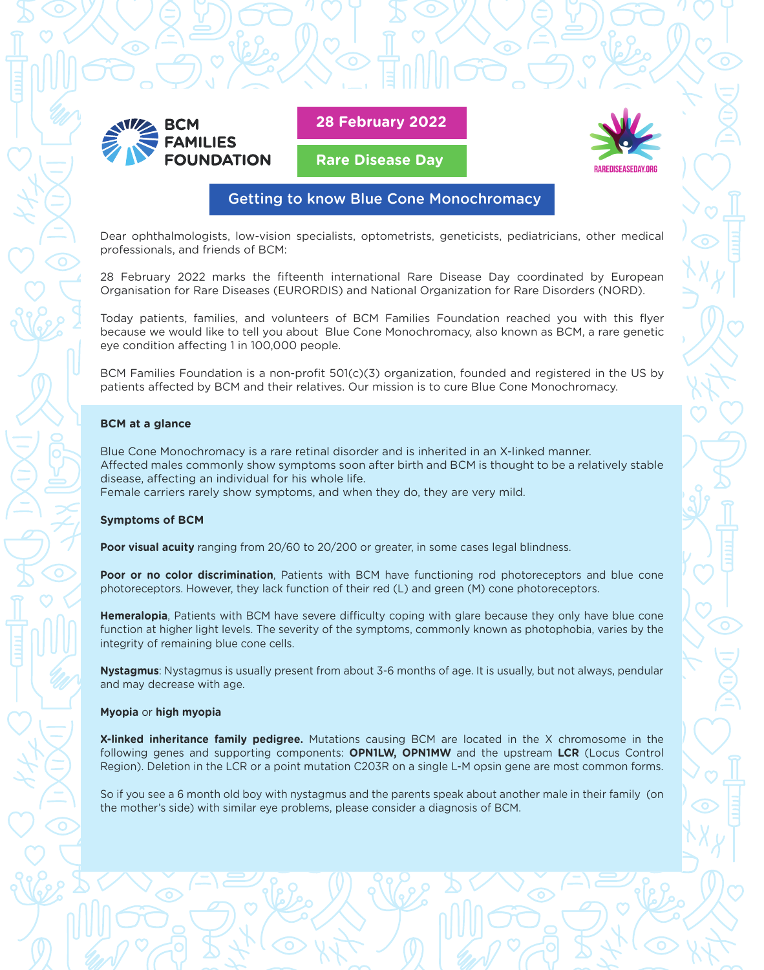

**28 February 2022**

**Rare Disease Day**



## Getting to know Blue Cone Monochromacy

Dear ophthalmologists, low-vision specialists, optometrists, geneticists, pediatricians, other medical professionals, and friends of BCM:

28 February 2022 marks the fifteenth international Rare Disease Day coordinated by European Organisation for Rare Diseases (EURORDIS) and National Organization for Rare Disorders (NORD).

Today patients, families, and volunteers of BCM Families Foundation reached you with this flyer because we would like to tell you about Blue Cone Monochromacy, also known as BCM, a rare genetic eye condition affecting 1 in 100,000 people.

BCM Families Foundation is a non-profit 501(c)(3) organization, founded and registered in the US by patients affected by BCM and their relatives. Our mission is to cure Blue Cone Monochromacy.

### **BCM at a glance**

Blue Cone Monochromacy is a rare retinal disorder and is inherited in an X-linked manner. Affected males commonly show symptoms soon after birth and BCM is thought to be a relatively stable disease, affecting an individual for his whole life. Female carriers rarely show symptoms, and when they do, they are very mild.

#### **Symptoms of BCM**

**Poor visual acuity** ranging from 20/60 to 20/200 or greater, in some cases legal blindness.

**Poor or no color discrimination**, Patients with BCM have functioning rod photoreceptors and blue cone photoreceptors. However, they lack function of their red (L) and green (M) cone photoreceptors.

**Hemeralopia**, Patients with BCM have severe difficulty coping with glare because they only have blue cone function at higher light levels. The severity of the symptoms, commonly known as photophobia, varies by the integrity of remaining blue cone cells.

**Nystagmus**: Nystagmus is usually present from about 3-6 months of age. It is usually, but not always, pendular and may decrease with age.

#### **Myopia** or **high myopia**

**X-linked inheritance family pedigree.** Mutations causing BCM are located in the X chromosome in the following genes and supporting components: **OPN1LW, OPN1MW** and the upstream **LCR** (Locus Control Region). Deletion in the LCR or a point mutation C203R on a single L-M opsin gene are most common forms.

So if you see a 6 month old boy with nystagmus and the parents speak about another male in their family (on the mother's side) with similar eye problems, please consider a diagnosis of BCM.